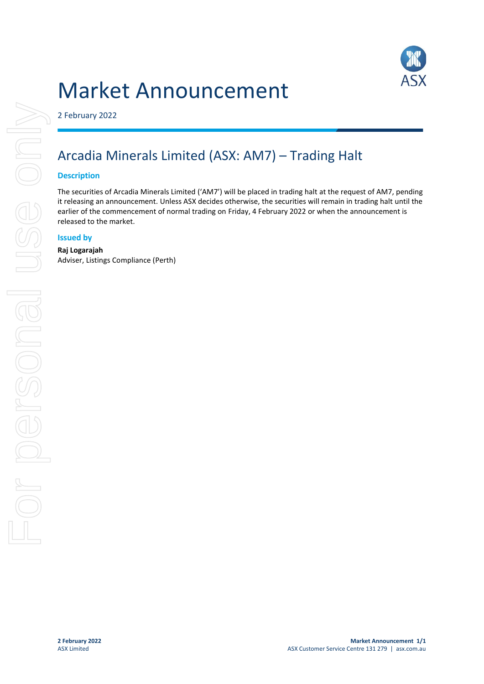# Market Announcement



2 February 2022

## Arcadia Minerals Limited (ASX: AM7) – Trading Halt

#### **Description**

The securities of Arcadia Minerals Limited ('AM7') will be placed in trading halt at the request of AM7, pending it releasing an announcement. Unless ASX decides otherwise, the securities will remain in trading halt until the earlier of the commencement of normal trading on Friday, 4 February 2022 or when the announcement is released to the market.

#### **Issued by**

### **Raj Logarajah**

Adviser, Listings Compliance (Perth)